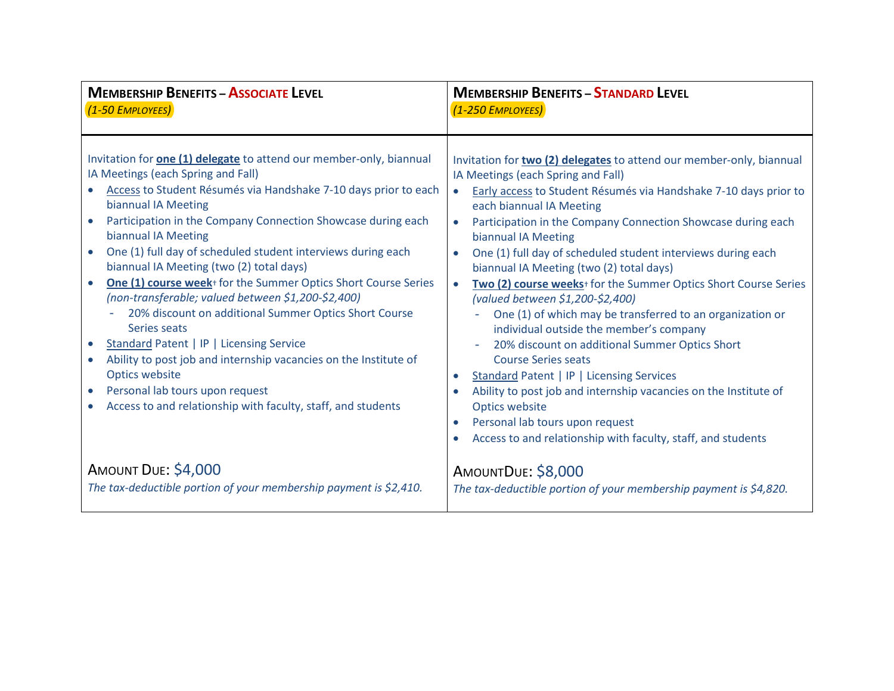| <b>MEMBERSHIP BENEFITS - ASSOCIATE LEVEL</b>                                                                                                                                                                                                                                                                                                                                                                                                                                                                                                                                                                                                                                                                                                                                                                                                                                                                                     | <b>MEMBERSHIP BENEFITS - STANDARD LEVEL</b>                                                                                                                                                                                                                                                                                                                                                                                                                                                                                                                                                                                                                                                                                                                                                                                                                                                                                                                                                                                     |
|----------------------------------------------------------------------------------------------------------------------------------------------------------------------------------------------------------------------------------------------------------------------------------------------------------------------------------------------------------------------------------------------------------------------------------------------------------------------------------------------------------------------------------------------------------------------------------------------------------------------------------------------------------------------------------------------------------------------------------------------------------------------------------------------------------------------------------------------------------------------------------------------------------------------------------|---------------------------------------------------------------------------------------------------------------------------------------------------------------------------------------------------------------------------------------------------------------------------------------------------------------------------------------------------------------------------------------------------------------------------------------------------------------------------------------------------------------------------------------------------------------------------------------------------------------------------------------------------------------------------------------------------------------------------------------------------------------------------------------------------------------------------------------------------------------------------------------------------------------------------------------------------------------------------------------------------------------------------------|
| (1-50 EMPLOYEES)                                                                                                                                                                                                                                                                                                                                                                                                                                                                                                                                                                                                                                                                                                                                                                                                                                                                                                                 | (1-250 EMPLOYEES)                                                                                                                                                                                                                                                                                                                                                                                                                                                                                                                                                                                                                                                                                                                                                                                                                                                                                                                                                                                                               |
| Invitation for <b>one (1) delegate</b> to attend our member-only, biannual<br>IA Meetings (each Spring and Fall)<br>Access to Student Résumés via Handshake 7-10 days prior to each<br>biannual IA Meeting<br>Participation in the Company Connection Showcase during each<br>biannual IA Meeting<br>One (1) full day of scheduled student interviews during each<br>$\bullet$<br>biannual IA Meeting (two (2) total days)<br>One (1) course week <sup>+</sup> for the Summer Optics Short Course Series<br>$\bullet$<br>(non-transferable; valued between \$1,200-\$2,400)<br>20% discount on additional Summer Optics Short Course<br>Series seats<br>Standard Patent   IP   Licensing Service<br>$\bullet$<br>Ability to post job and internship vacancies on the Institute of<br>$\bullet$<br>Optics website<br>Personal lab tours upon request<br>$\bullet$<br>Access to and relationship with faculty, staff, and students | Invitation for two (2) delegates to attend our member-only, biannual<br>IA Meetings (each Spring and Fall)<br>Early access to Student Résumés via Handshake 7-10 days prior to<br>$\bullet$<br>each biannual IA Meeting<br>Participation in the Company Connection Showcase during each<br>$\bullet$<br>biannual IA Meeting<br>One (1) full day of scheduled student interviews during each<br>$\bullet$<br>biannual IA Meeting (two (2) total days)<br>Two (2) course weeks <sup>+</sup> for the Summer Optics Short Course Series<br>$\bullet$<br>(valued between \$1,200-\$2,400)<br>One (1) of which may be transferred to an organization or<br>individual outside the member's company<br>20% discount on additional Summer Optics Short<br><b>Course Series seats</b><br>Standard Patent   IP   Licensing Services<br>Ability to post job and internship vacancies on the Institute of<br>Optics website<br>Personal lab tours upon request<br>$\bullet$<br>Access to and relationship with faculty, staff, and students |
| AMOUNT DUE: \$4,000                                                                                                                                                                                                                                                                                                                                                                                                                                                                                                                                                                                                                                                                                                                                                                                                                                                                                                              | AMOUNTDUE: \$8,000                                                                                                                                                                                                                                                                                                                                                                                                                                                                                                                                                                                                                                                                                                                                                                                                                                                                                                                                                                                                              |
| The tax-deductible portion of your membership payment is \$2,410.                                                                                                                                                                                                                                                                                                                                                                                                                                                                                                                                                                                                                                                                                                                                                                                                                                                                | The tax-deductible portion of your membership payment is \$4,820.                                                                                                                                                                                                                                                                                                                                                                                                                                                                                                                                                                                                                                                                                                                                                                                                                                                                                                                                                               |